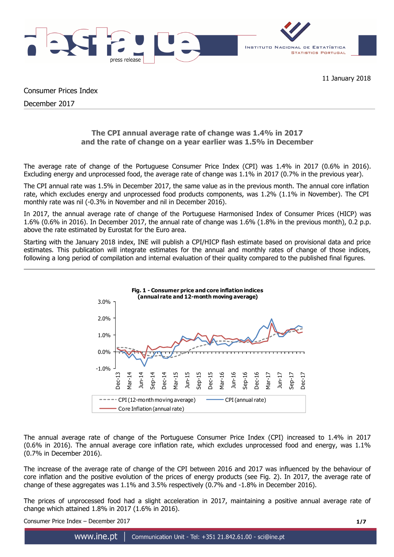

Consumer Prices Index

December 2017

# **The CPI annual average rate of change was 1.4% in 2017 and the rate of change on a year earlier was 1.5% in December**

The average rate of change of the Portuguese Consumer Price Index (CPI) was 1.4% in 2017 (0.6% in 2016). Excluding energy and unprocessed food, the average rate of change was 1.1% in 2017 (0.7% in the previous year).

The CPI annual rate was 1.5% in December 2017, the same value as in the previous month. The annual core inflation rate, which excludes energy and unprocessed food products components, was 1.2% (1.1% in November). The CPI monthly rate was nil (-0.3% in November and nil in December 2016).

In 2017, the annual average rate of change of the Portuguese Harmonised Index of Consumer Prices (HICP) was 1.6% (0.6% in 2016). In December 2017, the annual rate of change was 1.6% (1.8% in the previous month), 0.2 p.p. above the rate estimated by Eurostat for the Euro area.

Starting with the January 2018 index, INE will publish a CPI/HICP flash estimate based on provisional data and price estimates. This publication will integrate estimates for the annual and monthly rates of change of those indices, following a long period of compilation and internal evaluation of their quality compared to the published final figures.



The annual average rate of change of the Portuguese Consumer Price Index (CPI) increased to 1.4% in 2017 (0.6% in 2016). The annual average core inflation rate, which excludes unprocessed food and energy, was 1.1% (0.7% in December 2016).

The increase of the average rate of change of the CPI between 2016 and 2017 was influenced by the behaviour of core inflation and the positive evolution of the prices of energy products (see Fig. 2). In 2017, the average rate of change of these aggregates was 1.1% and 3.5% respectively (0.7% and -1.8% in December 2016).

The prices of unprocessed food had a slight acceleration in 2017, maintaining a positive annual average rate of change which attained 1.8% in 2017 (1.6% in 2016).

Consumer Price Index – December 2017 **1/7**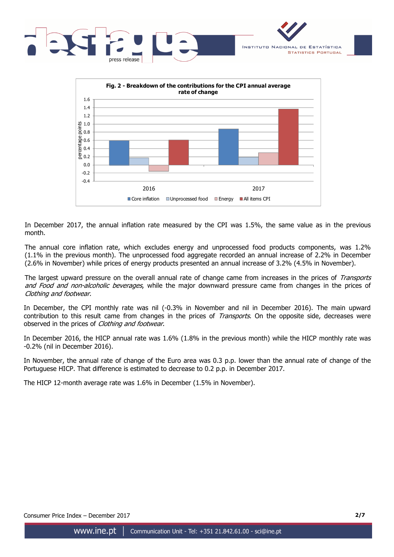





In December 2017, the annual inflation rate measured by the CPI was 1.5%, the same value as in the previous month.

The annual core inflation rate, which excludes energy and unprocessed food products components, was 1.2% (1.1% in the previous month). The unprocessed food aggregate recorded an annual increase of 2.2% in December (2.6% in November) while prices of energy products presented an annual increase of 3.2% (4.5% in November).

The largest upward pressure on the overall annual rate of change came from increases in the prices of Transports and Food and non-alcoholic beverages, while the major downward pressure came from changes in the prices of Clothing and footwear.

In December, the CPI monthly rate was nil (-0.3% in November and nil in December 2016). The main upward contribution to this result came from changes in the prices of *Transports*. On the opposite side, decreases were observed in the prices of *Clothing and footwear*.

In December 2016, the HICP annual rate was 1.6% (1.8% in the previous month) while the HICP monthly rate was -0.2% (nil in December 2016).

In November, the annual rate of change of the Euro area was 0.3 p.p. lower than the annual rate of change of the Portuguese HICP. That difference is estimated to decrease to 0.2 p.p. in December 2017.

The HICP 12-month average rate was 1.6% in December (1.5% in November).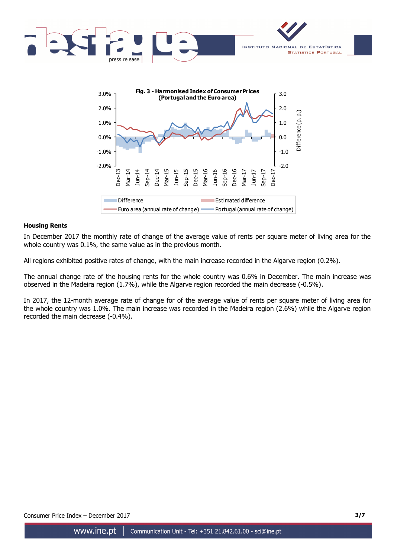



#### **Housing Rents**

In December 2017 the monthly rate of change of the average value of rents per square meter of living area for the whole country was 0.1%, the same value as in the previous month.

All regions exhibited positive rates of change, with the main increase recorded in the Algarve region (0.2%).

The annual change rate of the housing rents for the whole country was 0.6% in December. The main increase was observed in the Madeira region (1.7%), while the Algarve region recorded the main decrease (-0.5%).

In 2017, the 12-month average rate of change for of the average value of rents per square meter of living area for the whole country was 1.0%. The main increase was recorded in the Madeira region (2.6%) while the Algarve region recorded the main decrease (-0.4%).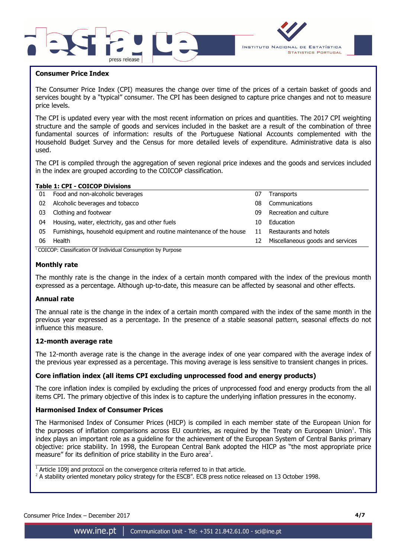



## **Consumer Price Index**

The Consumer Price Index (CPI) measures the change over time of the prices of a certain basket of goods and services bought by a "typical" consumer. The CPI has been designed to capture price changes and not to measure price levels.

The CPI is updated every year with the most recent information on prices and quantities. The 2017 CPI weighting structure and the sample of goods and services included in the basket are a result of the combination of three fundamental sources of information: results of the Portuguese National Accounts complemented with the Household Budget Survey and the Census for more detailed levels of expenditure. Administrative data is also used.

The CPI is compiled through the aggregation of seven regional price indexes and the goods and services included in the index are grouped according to the COICOP classification.

|    | <b>Table 1: CPI - COICOP Divisions</b>                                |    |                                  |
|----|-----------------------------------------------------------------------|----|----------------------------------|
| 01 | Food and non-alcoholic beverages                                      | 07 | Transports                       |
| 02 | Alcoholic beverages and tobacco                                       | 08 | Communications                   |
| 03 | Clothing and footwear                                                 | 09 | Recreation and culture           |
| 04 | Housing, water, electricity, gas and other fuels                      | 10 | Education                        |
| 05 | Furnishings, household equipment and routine maintenance of the house | 11 | Restaurants and hotels           |
| 06 | Health                                                                | 12 | Miscellaneous goods and services |

<sup>1</sup>COICOP: Classification Of Individual Consumption by Purpose

### **Monthly rate**

The monthly rate is the change in the index of a certain month compared with the index of the previous month expressed as a percentage. Although up-to-date, this measure can be affected by seasonal and other effects.

### **Annual rate**

The annual rate is the change in the index of a certain month compared with the index of the same month in the previous year expressed as a percentage. In the presence of a stable seasonal pattern, seasonal effects do not influence this measure.

### **12-month average rate**

The 12-month average rate is the change in the average index of one year compared with the average index of the previous year expressed as a percentage. This moving average is less sensitive to transient changes in prices.

# **Core inflation index (all items CPI excluding unprocessed food and energy products)**

The core inflation index is compiled by excluding the prices of unprocessed food and energy products from the all items CPI. The primary objective of this index is to capture the underlying inflation pressures in the economy.

## **Harmonised Index of Consumer Prices**

The Harmonised Index of Consumer Prices (HICP) is compiled in each member state of the European Union for the purposes of inflation comparisons across EU countries, as required by the Treaty on European Union<sup>1</sup>. This index plays an important role as a guideline for the achievement of the European System of Central Banks primary objective: price stability. In 1998, the European Central Bank adopted the HICP as "the most appropriate price measure" for its definition of price stability in the Euro area<sup>2</sup>.

 $\overline{\phantom{a}}$  , and the set of the set of the set of the set of the set of the set of the set of the set of the set of the set of the set of the set of the set of the set of the set of the set of the set of the set of the s

 $1$  Article 109j and protocol on the convergence criteria referred to in that article.

 $^2$  A stability oriented monetary policy strategy for the ESCB". ECB press notice released on 13 October 1998.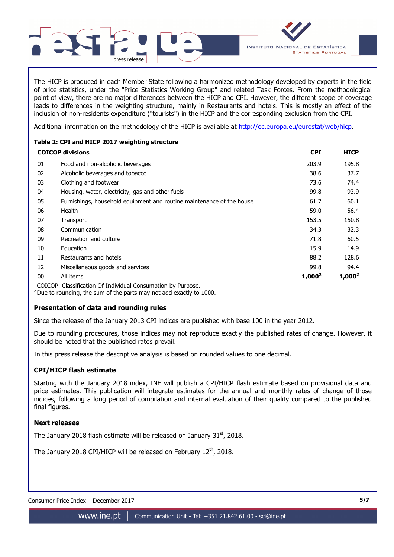

The HICP is produced in each Member State following a harmonized methodology developed by experts in the field of price statistics, under the "Price Statistics Working Group" and related Task Forces. From the methodological point of view, there are no major differences between the HICP and CPI. However, the different scope of coverage leads to differences in the weighting structure, mainly in Restaurants and hotels. This is mostly an effect of the inclusion of non-residents expenditure ("tourists") in the HICP and the corresponding exclusion from the CPI.

Additional information on the methodology of the HICP is available at http://ec.europa.eu/eurostat/web/hicp.

# **Table 2: CPI and HICP 2017 weighting structure**

I

|    | <b>COICOP divisions</b>                                               | <b>CPI</b> | <b>HICP</b> |
|----|-----------------------------------------------------------------------|------------|-------------|
| 01 | Food and non-alcoholic beverages                                      | 203.9      | 195.8       |
| 02 | Alcoholic beverages and tobacco                                       | 38.6       | 37.7        |
| 03 | Clothing and footwear                                                 | 73.6       | 74.4        |
| 04 | Housing, water, electricity, gas and other fuels                      | 99.8       | 93.9        |
| 05 | Furnishings, household equipment and routine maintenance of the house | 61.7       | 60.1        |
| 06 | Health                                                                | 59.0       | 56.4        |
| 07 | Transport                                                             | 153.5      | 150.8       |
| 08 | Communication                                                         | 34.3       | 32.3        |
| 09 | Recreation and culture                                                | 71.8       | 60.5        |
| 10 | Education                                                             | 15.9       | 14.9        |
| 11 | Restaurants and hotels                                                | 88.2       | 128.6       |
| 12 | Miscellaneous goods and services                                      | 99.8       | 94.4        |
| 00 | All items                                                             | $1,000^2$  | $1,000^2$   |

 $1$ COICOP: Classification Of Individual Consumption by Purpose.

 $2$  Due to rounding, the sum of the parts may not add exactly to 1000.

# **Presentation of data and rounding rules**

Since the release of the January 2013 CPI indices are published with base 100 in the year 2012.

Due to rounding procedures, those indices may not reproduce exactly the published rates of change. However, it should be noted that the published rates prevail.

In this press release the descriptive analysis is based on rounded values to one decimal.

# **CPI/HICP flash estimate**

Starting with the January 2018 index, INE will publish a CPI/HICP flash estimate based on provisional data and price estimates. This publication will integrate estimates for the annual and monthly rates of change of those indices, following a long period of compilation and internal evaluation of their quality compared to the published final figures.

# **Next releases**

The January 2018 flash estimate will be released on January  $31<sup>st</sup>$ , 2018.

The January 2018 CPI/HICP will be released on February 12<sup>th</sup>, 2018.

## Consumer Price Index – December 2017 **5/7**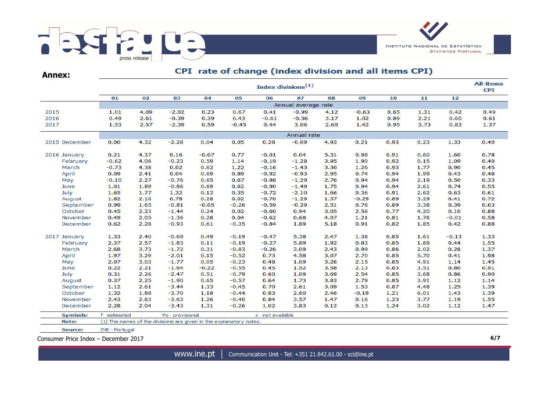

**Annex:**

# CPI rate of change (index division and all items CPI)

|                 | <b>All-items</b><br>Index divisions <sup>(1)</sup> |      |                                                                    |         |         |                 |                     |                      |              |      |      |         |      |  |  |
|-----------------|----------------------------------------------------|------|--------------------------------------------------------------------|---------|---------|-----------------|---------------------|----------------------|--------------|------|------|---------|------|--|--|
|                 | 01                                                 | 02   | 03                                                                 | 04      | 05      | 06              | 07                  | 08                   | 09           | 10   | 11   | 12      |      |  |  |
|                 |                                                    |      |                                                                    |         |         |                 | Annual average rate |                      |              |      |      |         |      |  |  |
| 2015            | 1.01                                               | 4.09 | $-2.02$                                                            | 0.23    | 0.67    | 0.41            | $-0.99$             | 4.12                 | $-0.63$      | 0.65 | 1.31 | 0.42    | 0.49 |  |  |
| 2016            | 0.49                                               | 2.61 | $-0.39$                                                            | 0.39    | 0.43    | $-0.61$         | $-0.56$             | 3.17                 | 1.02         | 0.89 | 2.21 | 0.60    | 0.61 |  |  |
| 2017            | 1.53                                               | 2.57 | $-2.39$                                                            | 0.59    | $-0.45$ | 0.44            | 3.06                | 2.60                 | 1.42         | 0.95 | 3.73 | 0.83    | 1.37 |  |  |
|                 |                                                    |      |                                                                    |         |         |                 | Annual rate         |                      |              |      |      |         |      |  |  |
| 2015 December   | 0.00                                               | 4.32 | $-2.28$                                                            | 0.04    | 0.05    | 0.28            | $-0.09$             | 4.93                 | 0.21         | 0.93 | 0.23 | 1.33    | 0.40 |  |  |
| 2016 January    | 0.21                                               | 4.37 | 0.16                                                               | $-0.07$ | 0.77    | $-0.01$         | 0.04                | 5.31                 | 0.98         | 0.91 | 0.60 | 1.60    | 0.78 |  |  |
| February        | $-0.62$                                            | 4.06 | $-0.23$                                                            | 0.59    | 1.14    | $-0.19$         | $-1.28$             | 3.95                 | 1.90         | 0.92 | 0.15 | 1.09    | 0.40 |  |  |
| March           | $-0.73$                                            | 4.38 | 0.02                                                               | 0.62    | 1.22    | $-0.16$         | $-1.43$             | 3.30                 | 1.26         | 0.93 | 1.77 | 0.90    | 0.45 |  |  |
| April           | 0.09                                               | 2.41 | 0.04                                                               | 0.69    | 0.89    | $-0.92$         | $-0.93$             | 2.95                 | 0.74         | 0.94 | 1.99 | 0.43    | 0.48 |  |  |
| May             | $-0.10$                                            | 2.27 | $-0.76$                                                            | 0.65    | 0.67    | $-0.98$         | $-1.29$             | 2.76                 | 0.94         | 0.94 | 2.19 | 0.50    | 0.33 |  |  |
| June            | 1.01                                               | 1.89 | $-0.86$                                                            | 0.69    | 0.62    | $-0.90$         | $-1.49$             | 1.75                 | 0.94         | 0.94 | 2.61 | 0.74    | 0.55 |  |  |
| July            | 1.65                                               | 1.77 | 1.32                                                               | 0.12    | 0.35    | $-0.72$         | $-2.10$             | 1.66                 | 0.36         | 0.91 | 2.62 | 0.63    | 0.61 |  |  |
| August          | 1.82                                               | 2.16 | 0.78                                                               | 0.28    | 0.02    | $-0.76$         | $-1.29$             | 1.57                 | $-0.29$      | 0.89 | 3.29 | 0.41    | 0.72 |  |  |
| September       | 0.99                                               | 1.65 | $-0.81$                                                            | $-0.05$ | $-0.26$ | $-0.59$         | $-0.29$             | 2.51                 | 0.76         | 0.89 | 3.38 | 0.39    | 0.63 |  |  |
| October         | 0.45                                               | 2.23 | $-1.44$                                                            | 0.24    | 0.02    | $-0.60$         | 0.94                | 3.05                 | 2.56         | 0.77 | 4.20 | 0.10    | 0.88 |  |  |
| November        | 0.49                                               | 2.05 | $-1.36$                                                            | 0.28    | 0.04    | $-0.62$         | 0.68                | 4.07                 | 1.21         | 0.81 | 1.76 | $-0.01$ | 0.58 |  |  |
| December        | 0.62                                               | 2.28 | $-0.93$                                                            | 0.61    | $-0.35$ | $-0.84$         | 1.89                | 5.18                 | 0.91         | 0.82 | 1.85 | 0.42    | 0.88 |  |  |
| 2017 January    | 1.33                                               | 2.40 | $-0.69$                                                            | 0.49    | $-0.19$ | $-0.47$         | 5.38                | 2.47                 | 1.38         | 0.85 | 1.61 | $-0.13$ | 1.33 |  |  |
| February        | 2.37                                               | 2.57 | $-1.83$                                                            | 0.11    | $-0.19$ | $-0.27$         | 5.89                | 1.92                 | 0.83         | 0.85 | 1.89 | 0.44    | 1.55 |  |  |
| March           | 2.68                                               | 3.73 | $-1.72$                                                            | 0.31    | $-0.83$ | $-0.26$         | 3.09                | 2.43                 | 0.99         | 0.86 | 2.02 | 0.28    | 1.37 |  |  |
| April           | 1.97                                               | 3.29 | $-2.01$                                                            | 0.15    | $-0.52$ | 0.73            | 4.58                | 3.07                 | 2.70         | 0.85 | 5.70 | 0.41    | 1.98 |  |  |
| May             | 2.07                                               | 3.03 | $-1.77$                                                            | 0.05    | $-0.23$ | 0.48            | 1.09                | 3.26<br>2.15<br>0.85 |              | 4.91 | 1.14 | 1.45    |      |  |  |
| June            | 0.22                                               | 2.21 | $-1.64$                                                            | $-0.22$ | $-0.55$ | 0.45            | 1.52                | 3.58                 | 2.13         | 0.83 | 3.51 | 0.80    | 0.91 |  |  |
| July            | 0.31                                               | 2.26 | $-2.47$                                                            | 0.51    | $-0.79$ | 0.60            | 1.09                | 3.69                 | 2.54<br>0.85 |      | 3.68 | 0.86    | 0.90 |  |  |
| August          | 0.37                                               | 2.25 | $-1.90$                                                            | 0.65    | $-0.57$ | 0.64            | 1.73                | 3.83                 | 2.79         | 0.85 | 3.91 | 1.12    | 1.14 |  |  |
| September       | 1.12                                               | 2.61 | $-3.44$                                                            | 1.33    | $-0.45$ | 0.70            | 2.61                | 3.09                 | 1.53         | 0.87 | 4.48 | 1.25    | 1.39 |  |  |
| October         | 1.32                                               | 1.88 | $-3.70$                                                            | 1.18    | $-0.44$ | 0.83            | 2.60                | 2.46                 | $-0.19$      | 1.21 | 6.01 | 1.43    | 1.39 |  |  |
| November        | 2.43                                               | 2.63 | $-3.63$                                                            | 1.26    | $-0.40$ | 0.84            | 3.57                | 1.47                 | 0.16         | 1.23 | 3.77 | 1.19    | 1.55 |  |  |
| December        | 2.28                                               | 2.04 | $-3.43$                                                            | 1.31    | $-0.26$ | 1.02            | 3.83                | 0.12                 | 0.13         | 1.24 | 3.02 | 1.12    | 1.47 |  |  |
| <b>Symbols:</b> | estimated<br>£                                     |      | Po provisional                                                     |         |         | x not available |                     |                      |              |      |      |         |      |  |  |
| Note:           |                                                    |      | (1) The names of the divisions are given in the explanatory notes. |         |         |                 |                     |                      |              |      |      |         |      |  |  |
| Source:         | <b>INE - Portugal</b>                              |      |                                                                    |         |         |                 |                     |                      |              |      |      |         |      |  |  |

Consumer Price Index – December 2017 **6/7**

www.ine.pt | Communication Unit - Tel: +351 21.842.61.00 - sci@ine.pt